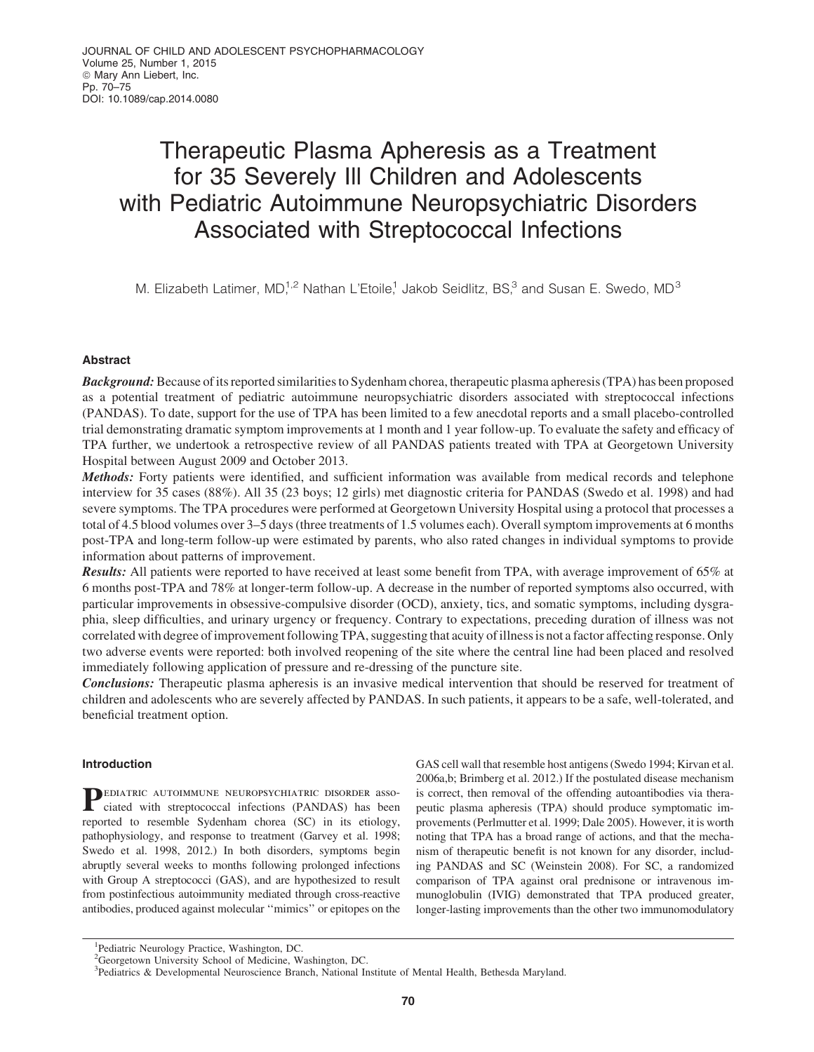# Therapeutic Plasma Apheresis as a Treatment for 35 Severely Ill Children and Adolescents with Pediatric Autoimmune Neuropsychiatric Disorders Associated with Streptococcal Infections

M. Elizabeth Latimer, MD,<sup>1,2</sup> Nathan L'Etoile,<sup>1</sup> Jakob Seidlitz, BS,<sup>3</sup> and Susan E. Swedo, MD<sup>3</sup>

# Abstract

**Background:** Because of its reported similarities to Sydenham chorea, therapeutic plasma apheresis (TPA) has been proposed as a potential treatment of pediatric autoimmune neuropsychiatric disorders associated with streptococcal infections (PANDAS). To date, support for the use of TPA has been limited to a few anecdotal reports and a small placebo-controlled trial demonstrating dramatic symptom improvements at 1 month and 1 year follow-up. To evaluate the safety and efficacy of TPA further, we undertook a retrospective review of all PANDAS patients treated with TPA at Georgetown University Hospital between August 2009 and October 2013.

Methods: Forty patients were identified, and sufficient information was available from medical records and telephone interview for 35 cases (88%). All 35 (23 boys; 12 girls) met diagnostic criteria for PANDAS (Swedo et al. 1998) and had severe symptoms. The TPA procedures were performed at Georgetown University Hospital using a protocol that processes a total of 4.5 blood volumes over 3–5 days (three treatments of 1.5 volumes each). Overall symptom improvements at 6 months post-TPA and long-term follow-up were estimated by parents, who also rated changes in individual symptoms to provide information about patterns of improvement.

Results: All patients were reported to have received at least some benefit from TPA, with average improvement of 65% at 6 months post-TPA and 78% at longer-term follow-up. A decrease in the number of reported symptoms also occurred, with particular improvements in obsessive-compulsive disorder (OCD), anxiety, tics, and somatic symptoms, including dysgraphia, sleep difficulties, and urinary urgency or frequency. Contrary to expectations, preceding duration of illness was not correlated with degree of improvement following TPA, suggesting that acuity of illness is not a factor affecting response. Only two adverse events were reported: both involved reopening of the site where the central line had been placed and resolved immediately following application of pressure and re-dressing of the puncture site.

Conclusions: Therapeutic plasma apheresis is an invasive medical intervention that should be reserved for treatment of children and adolescents who are severely affected by PANDAS. In such patients, it appears to be a safe, well-tolerated, and beneficial treatment option.

# Introduction

PEDIATRIC AUTOIMMUNE NEUROPSYCHIATRIC DISORDER asso-<br>ciated with streptococcal infections (PANDAS) has been reported to resemble Sydenham chorea (SC) in its etiology, pathophysiology, and response to treatment (Garvey et al. 1998; Swedo et al. 1998, 2012.) In both disorders, symptoms begin abruptly several weeks to months following prolonged infections with Group A streptococci (GAS), and are hypothesized to result from postinfectious autoimmunity mediated through cross-reactive antibodies, produced against molecular ''mimics'' or epitopes on the GAS cell wall that resemble host antigens (Swedo 1994; Kirvan et al. 2006a,b; Brimberg et al. 2012.) If the postulated disease mechanism is correct, then removal of the offending autoantibodies via therapeutic plasma apheresis (TPA) should produce symptomatic improvements (Perlmutter et al. 1999; Dale 2005). However, it is worth noting that TPA has a broad range of actions, and that the mechanism of therapeutic benefit is not known for any disorder, including PANDAS and SC (Weinstein 2008). For SC, a randomized comparison of TPA against oral prednisone or intravenous immunoglobulin (IVIG) demonstrated that TPA produced greater, longer-lasting improvements than the other two immunomodulatory

<sup>&</sup>lt;sup>1</sup>Pediatric Neurology Practice, Washington, DC.

<sup>&</sup>lt;sup>2</sup>Georgetown University School of Medicine, Washington, DC.

<sup>&</sup>lt;sup>3</sup>Pediatrics & Developmental Neuroscience Branch, National Institute of Mental Health, Bethesda Maryland.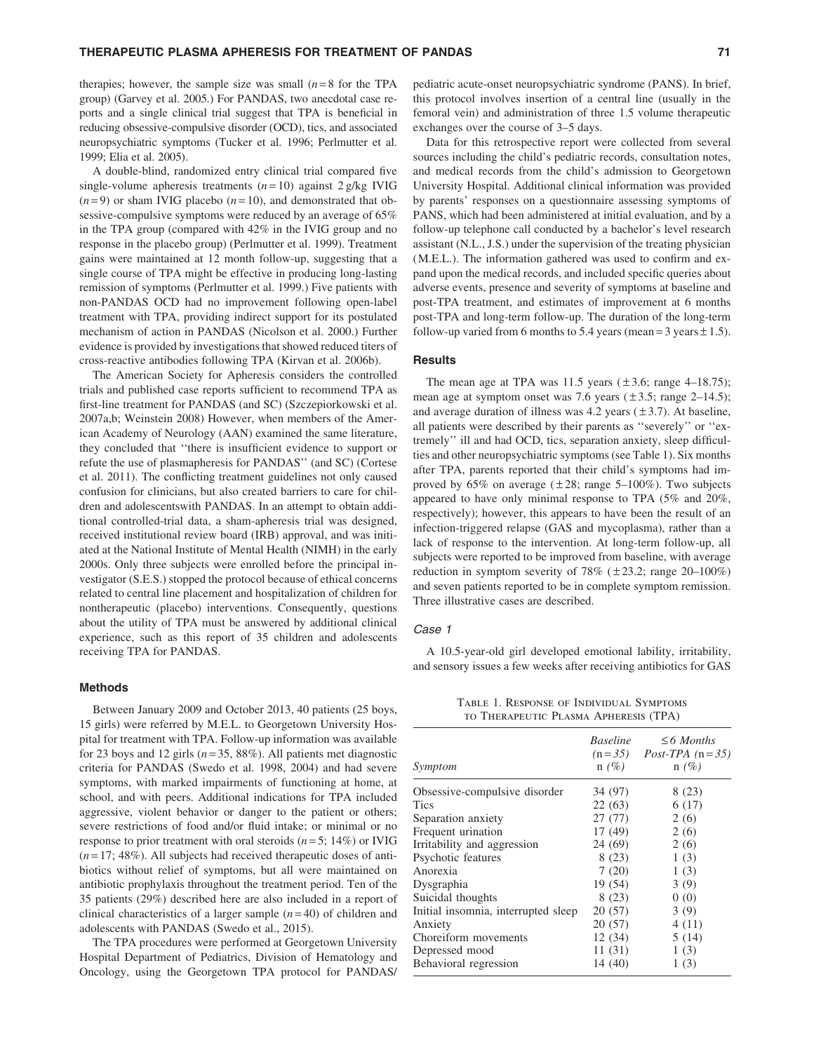therapies; however, the sample size was small  $(n=8$  for the TPA group) (Garvey et al. 2005.) For PANDAS, two anecdotal case reports and a single clinical trial suggest that TPA is beneficial in reducing obsessive-compulsive disorder (OCD), tics, and associated neuropsychiatric symptoms (Tucker et al. 1996; Perlmutter et al. 1999; Elia et al. 2005).

A double-blind, randomized entry clinical trial compared five single-volume apheresis treatments  $(n=10)$  against  $2 \frac{g}{kg}$  IVIG  $(n=9)$  or sham IVIG placebo  $(n=10)$ , and demonstrated that obsessive-compulsive symptoms were reduced by an average of 65% in the TPA group (compared with 42% in the IVIG group and no response in the placebo group) (Perlmutter et al. 1999). Treatment gains were maintained at 12 month follow-up, suggesting that a single course of TPA might be effective in producing long-lasting remission of symptoms (Perlmutter et al. 1999.) Five patients with non-PANDAS OCD had no improvement following open-label treatment with TPA, providing indirect support for its postulated mechanism of action in PANDAS (Nicolson et al. 2000.) Further evidence is provided by investigations that showed reduced titers of cross-reactive antibodies following TPA (Kirvan et al. 2006b).

The American Society for Apheresis considers the controlled trials and published case reports sufficient to recommend TPA as first-line treatment for PANDAS (and SC) (Szczepiorkowski et al. 2007a,b; Weinstein 2008) However, when members of the American Academy of Neurology (AAN) examined the same literature, they concluded that ''there is insufficient evidence to support or refute the use of plasmapheresis for PANDAS'' (and SC) (Cortese et al. 2011). The conflicting treatment guidelines not only caused confusion for clinicians, but also created barriers to care for children and adolescentswith PANDAS. In an attempt to obtain additional controlled-trial data, a sham-apheresis trial was designed, received institutional review board (IRB) approval, and was initiated at the National Institute of Mental Health (NIMH) in the early 2000s. Only three subjects were enrolled before the principal investigator (S.E.S.) stopped the protocol because of ethical concerns related to central line placement and hospitalization of children for nontherapeutic (placebo) interventions. Consequently, questions about the utility of TPA must be answered by additional clinical experience, such as this report of 35 children and adolescents receiving TPA for PANDAS.

## Methods

Between January 2009 and October 2013, 40 patients (25 boys, 15 girls) were referred by M.E.L. to Georgetown University Hospital for treatment with TPA. Follow-up information was available for 23 boys and 12 girls ( $n = 35$ , 88%). All patients met diagnostic criteria for PANDAS (Swedo et al. 1998, 2004) and had severe symptoms, with marked impairments of functioning at home, at school, and with peers. Additional indications for TPA included aggressive, violent behavior or danger to the patient or others; severe restrictions of food and/or fluid intake; or minimal or no response to prior treatment with oral steroids  $(n=5; 14\%)$  or IVIG  $(n = 17; 48\%)$ . All subjects had received therapeutic doses of antibiotics without relief of symptoms, but all were maintained on antibiotic prophylaxis throughout the treatment period. Ten of the 35 patients (29%) described here are also included in a report of clinical characteristics of a larger sample  $(n=40)$  of children and adolescents with PANDAS (Swedo et al., 2015).

The TPA procedures were performed at Georgetown University Hospital Department of Pediatrics, Division of Hematology and Oncology, using the Georgetown TPA protocol for PANDAS/ pediatric acute-onset neuropsychiatric syndrome (PANS). In brief, this protocol involves insertion of a central line (usually in the femoral vein) and administration of three 1.5 volume therapeutic exchanges over the course of 3–5 days.

Data for this retrospective report were collected from several sources including the child's pediatric records, consultation notes, and medical records from the child's admission to Georgetown University Hospital. Additional clinical information was provided by parents' responses on a questionnaire assessing symptoms of PANS, which had been administered at initial evaluation, and by a follow-up telephone call conducted by a bachelor's level research assistant (N.L., J.S.) under the supervision of the treating physician (M.E.L.). The information gathered was used to confirm and expand upon the medical records, and included specific queries about adverse events, presence and severity of symptoms at baseline and post-TPA treatment, and estimates of improvement at 6 months post-TPA and long-term follow-up. The duration of the long-term follow-up varied from 6 months to 5.4 years (mean = 3 years  $\pm$  1.5).

#### **Results**

The mean age at TPA was  $11.5$  years ( $\pm 3.6$ ; range 4–18.75); mean age at symptom onset was 7.6 years  $(\pm 3.5; \text{range } 2-14.5);$ and average duration of illness was 4.2 years  $(\pm 3.7)$ . At baseline, all patients were described by their parents as ''severely'' or ''extremely'' ill and had OCD, tics, separation anxiety, sleep difficulties and other neuropsychiatric symptoms (see Table 1). Six months after TPA, parents reported that their child's symptoms had improved by 65% on average  $(\pm 28)$ ; range 5–100%). Two subjects appeared to have only minimal response to TPA (5% and 20%, respectively); however, this appears to have been the result of an infection-triggered relapse (GAS and mycoplasma), rather than a lack of response to the intervention. At long-term follow-up, all subjects were reported to be improved from baseline, with average reduction in symptom severity of 78% ( $\pm 23.2$ ; range 20–100%) and seven patients reported to be in complete symptom remission. Three illustrative cases are described.

#### Case 1

A 10.5-year-old girl developed emotional lability, irritability, and sensory issues a few weeks after receiving antibiotics for GAS

Table 1. Response of Individual Symptoms to Therapeutic Plasma Apheresis (TPA)

| Symptom                             | <i>Baseline</i><br>$(n=35)$<br>$n(\%)$ | $\leq 6$ Months<br>Post-TPA $(n=35)$<br>$n(\%)$ |
|-------------------------------------|----------------------------------------|-------------------------------------------------|
| Obsessive-compulsive disorder       | 34 (97)                                | 8(23)                                           |
| Tics                                | 22(63)                                 | 6(17)                                           |
| Separation anxiety                  | 27(77)                                 | 2(6)                                            |
| Frequent urination                  | 17(49)                                 | 2(6)                                            |
| Irritability and aggression         | 24(69)                                 | 2(6)                                            |
| Psychotic features                  | 8(23)                                  | 1(3)                                            |
| Anorexia                            | 7(20)                                  | 1(3)                                            |
| Dysgraphia                          | 19 (54)                                | 3(9)                                            |
| Suicidal thoughts                   | 8(23)                                  | 0(0)                                            |
| Initial insomnia, interrupted sleep | 20(57)                                 | 3(9)                                            |
| Anxiety                             | 20 (57)                                | 4(11)                                           |
| Choreiform movements                | 12(34)                                 | 5(14)                                           |
| Depressed mood                      | 11(31)                                 | 1(3)                                            |
| Behavioral regression               | 14 (40)                                | 1(3)                                            |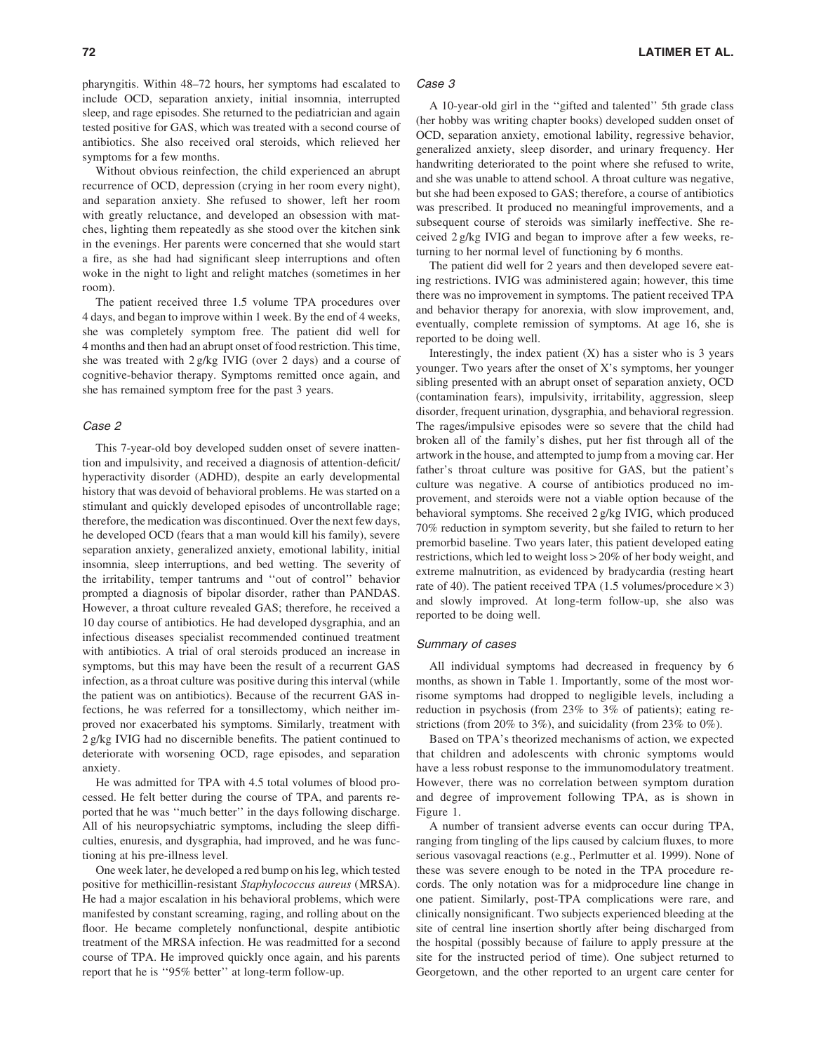pharyngitis. Within 48–72 hours, her symptoms had escalated to include OCD, separation anxiety, initial insomnia, interrupted sleep, and rage episodes. She returned to the pediatrician and again tested positive for GAS, which was treated with a second course of antibiotics. She also received oral steroids, which relieved her symptoms for a few months.

Without obvious reinfection, the child experienced an abrupt recurrence of OCD, depression (crying in her room every night), and separation anxiety. She refused to shower, left her room with greatly reluctance, and developed an obsession with matches, lighting them repeatedly as she stood over the kitchen sink in the evenings. Her parents were concerned that she would start a fire, as she had had significant sleep interruptions and often woke in the night to light and relight matches (sometimes in her room).

The patient received three 1.5 volume TPA procedures over 4 days, and began to improve within 1 week. By the end of 4 weeks, she was completely symptom free. The patient did well for 4 months and then had an abrupt onset of food restriction. This time, she was treated with 2 g/kg IVIG (over 2 days) and a course of cognitive-behavior therapy. Symptoms remitted once again, and she has remained symptom free for the past 3 years.

#### Case 2

This 7-year-old boy developed sudden onset of severe inattention and impulsivity, and received a diagnosis of attention-deficit/ hyperactivity disorder (ADHD), despite an early developmental history that was devoid of behavioral problems. He was started on a stimulant and quickly developed episodes of uncontrollable rage; therefore, the medication was discontinued. Over the next few days, he developed OCD (fears that a man would kill his family), severe separation anxiety, generalized anxiety, emotional lability, initial insomnia, sleep interruptions, and bed wetting. The severity of the irritability, temper tantrums and ''out of control'' behavior prompted a diagnosis of bipolar disorder, rather than PANDAS. However, a throat culture revealed GAS; therefore, he received a 10 day course of antibiotics. He had developed dysgraphia, and an infectious diseases specialist recommended continued treatment with antibiotics. A trial of oral steroids produced an increase in symptoms, but this may have been the result of a recurrent GAS infection, as a throat culture was positive during this interval (while the patient was on antibiotics). Because of the recurrent GAS infections, he was referred for a tonsillectomy, which neither improved nor exacerbated his symptoms. Similarly, treatment with 2 g/kg IVIG had no discernible benefits. The patient continued to deteriorate with worsening OCD, rage episodes, and separation anxiety.

He was admitted for TPA with 4.5 total volumes of blood processed. He felt better during the course of TPA, and parents reported that he was ''much better'' in the days following discharge. All of his neuropsychiatric symptoms, including the sleep difficulties, enuresis, and dysgraphia, had improved, and he was functioning at his pre-illness level.

One week later, he developed a red bump on his leg, which tested positive for methicillin-resistant Staphylococcus aureus (MRSA). He had a major escalation in his behavioral problems, which were manifested by constant screaming, raging, and rolling about on the floor. He became completely nonfunctional, despite antibiotic treatment of the MRSA infection. He was readmitted for a second course of TPA. He improved quickly once again, and his parents report that he is ''95% better'' at long-term follow-up.

## Case 3

A 10-year-old girl in the ''gifted and talented'' 5th grade class (her hobby was writing chapter books) developed sudden onset of OCD, separation anxiety, emotional lability, regressive behavior, generalized anxiety, sleep disorder, and urinary frequency. Her handwriting deteriorated to the point where she refused to write, and she was unable to attend school. A throat culture was negative, but she had been exposed to GAS; therefore, a course of antibiotics was prescribed. It produced no meaningful improvements, and a subsequent course of steroids was similarly ineffective. She received 2 g/kg IVIG and began to improve after a few weeks, returning to her normal level of functioning by 6 months.

The patient did well for 2 years and then developed severe eating restrictions. IVIG was administered again; however, this time there was no improvement in symptoms. The patient received TPA and behavior therapy for anorexia, with slow improvement, and, eventually, complete remission of symptoms. At age 16, she is reported to be doing well.

Interestingly, the index patient  $(X)$  has a sister who is 3 years younger. Two years after the onset of X's symptoms, her younger sibling presented with an abrupt onset of separation anxiety, OCD (contamination fears), impulsivity, irritability, aggression, sleep disorder, frequent urination, dysgraphia, and behavioral regression. The rages/impulsive episodes were so severe that the child had broken all of the family's dishes, put her fist through all of the artwork in the house, and attempted to jump from a moving car. Her father's throat culture was positive for GAS, but the patient's culture was negative. A course of antibiotics produced no improvement, and steroids were not a viable option because of the behavioral symptoms. She received 2 g/kg IVIG, which produced 70% reduction in symptom severity, but she failed to return to her premorbid baseline. Two years later, this patient developed eating restrictions, which led to weight loss > 20% of her body weight, and extreme malnutrition, as evidenced by bradycardia (resting heart rate of 40). The patient received TPA (1.5 volumes/procedure  $\times$  3) and slowly improved. At long-term follow-up, she also was reported to be doing well.

#### Summary of cases

All individual symptoms had decreased in frequency by 6 months, as shown in Table 1. Importantly, some of the most worrisome symptoms had dropped to negligible levels, including a reduction in psychosis (from 23% to 3% of patients); eating restrictions (from 20% to 3%), and suicidality (from 23% to 0%).

Based on TPA's theorized mechanisms of action, we expected that children and adolescents with chronic symptoms would have a less robust response to the immunomodulatory treatment. However, there was no correlation between symptom duration and degree of improvement following TPA, as is shown in Figure 1.

A number of transient adverse events can occur during TPA, ranging from tingling of the lips caused by calcium fluxes, to more serious vasovagal reactions (e.g., Perlmutter et al. 1999). None of these was severe enough to be noted in the TPA procedure records. The only notation was for a midprocedure line change in one patient. Similarly, post-TPA complications were rare, and clinically nonsignificant. Two subjects experienced bleeding at the site of central line insertion shortly after being discharged from the hospital (possibly because of failure to apply pressure at the site for the instructed period of time). One subject returned to Georgetown, and the other reported to an urgent care center for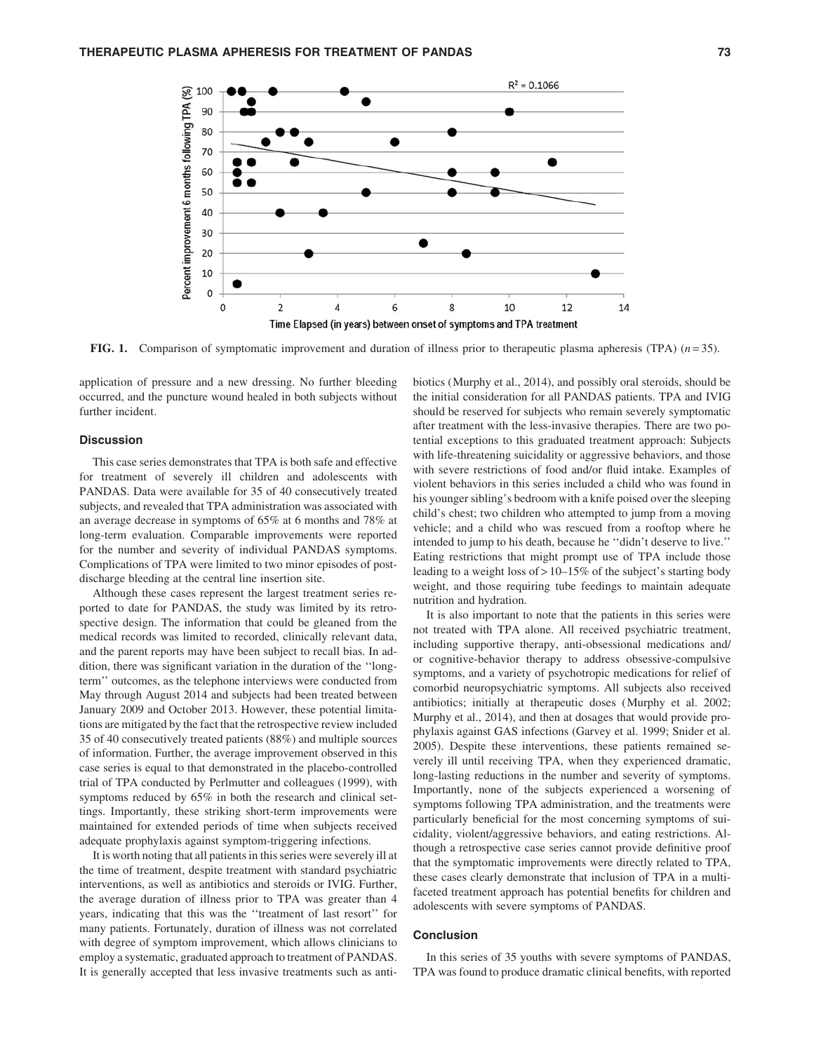

FIG. 1. Comparison of symptomatic improvement and duration of illness prior to therapeutic plasma apheresis (TPA)  $(n=35)$ .

application of pressure and a new dressing. No further bleeding occurred, and the puncture wound healed in both subjects without further incident.

## **Discussion**

This case series demonstrates that TPA is both safe and effective for treatment of severely ill children and adolescents with PANDAS. Data were available for 35 of 40 consecutively treated subjects, and revealed that TPA administration was associated with an average decrease in symptoms of 65% at 6 months and 78% at long-term evaluation. Comparable improvements were reported for the number and severity of individual PANDAS symptoms. Complications of TPA were limited to two minor episodes of postdischarge bleeding at the central line insertion site.

Although these cases represent the largest treatment series reported to date for PANDAS, the study was limited by its retrospective design. The information that could be gleaned from the medical records was limited to recorded, clinically relevant data, and the parent reports may have been subject to recall bias. In addition, there was significant variation in the duration of the ''longterm'' outcomes, as the telephone interviews were conducted from May through August 2014 and subjects had been treated between January 2009 and October 2013. However, these potential limitations are mitigated by the fact that the retrospective review included 35 of 40 consecutively treated patients (88%) and multiple sources of information. Further, the average improvement observed in this case series is equal to that demonstrated in the placebo-controlled trial of TPA conducted by Perlmutter and colleagues (1999), with symptoms reduced by 65% in both the research and clinical settings. Importantly, these striking short-term improvements were maintained for extended periods of time when subjects received adequate prophylaxis against symptom-triggering infections.

It is worth noting that all patients in this series were severely ill at the time of treatment, despite treatment with standard psychiatric interventions, as well as antibiotics and steroids or IVIG. Further, the average duration of illness prior to TPA was greater than 4 years, indicating that this was the ''treatment of last resort'' for many patients. Fortunately, duration of illness was not correlated with degree of symptom improvement, which allows clinicians to employ a systematic, graduated approach to treatment of PANDAS. It is generally accepted that less invasive treatments such as antibiotics (Murphy et al., 2014), and possibly oral steroids, should be the initial consideration for all PANDAS patients. TPA and IVIG should be reserved for subjects who remain severely symptomatic after treatment with the less-invasive therapies. There are two potential exceptions to this graduated treatment approach: Subjects with life-threatening suicidality or aggressive behaviors, and those with severe restrictions of food and/or fluid intake. Examples of violent behaviors in this series included a child who was found in his younger sibling's bedroom with a knife poised over the sleeping child's chest; two children who attempted to jump from a moving vehicle; and a child who was rescued from a rooftop where he intended to jump to his death, because he ''didn't deserve to live.'' Eating restrictions that might prompt use of TPA include those leading to a weight loss of > 10–15% of the subject's starting body weight, and those requiring tube feedings to maintain adequate nutrition and hydration.

It is also important to note that the patients in this series were not treated with TPA alone. All received psychiatric treatment, including supportive therapy, anti-obsessional medications and/ or cognitive-behavior therapy to address obsessive-compulsive symptoms, and a variety of psychotropic medications for relief of comorbid neuropsychiatric symptoms. All subjects also received antibiotics; initially at therapeutic doses (Murphy et al. 2002; Murphy et al., 2014), and then at dosages that would provide prophylaxis against GAS infections (Garvey et al. 1999; Snider et al. 2005). Despite these interventions, these patients remained severely ill until receiving TPA, when they experienced dramatic, long-lasting reductions in the number and severity of symptoms. Importantly, none of the subjects experienced a worsening of symptoms following TPA administration, and the treatments were particularly beneficial for the most concerning symptoms of suicidality, violent/aggressive behaviors, and eating restrictions. Although a retrospective case series cannot provide definitive proof that the symptomatic improvements were directly related to TPA, these cases clearly demonstrate that inclusion of TPA in a multifaceted treatment approach has potential benefits for children and adolescents with severe symptoms of PANDAS.

# Conclusion

In this series of 35 youths with severe symptoms of PANDAS, TPA was found to produce dramatic clinical benefits, with reported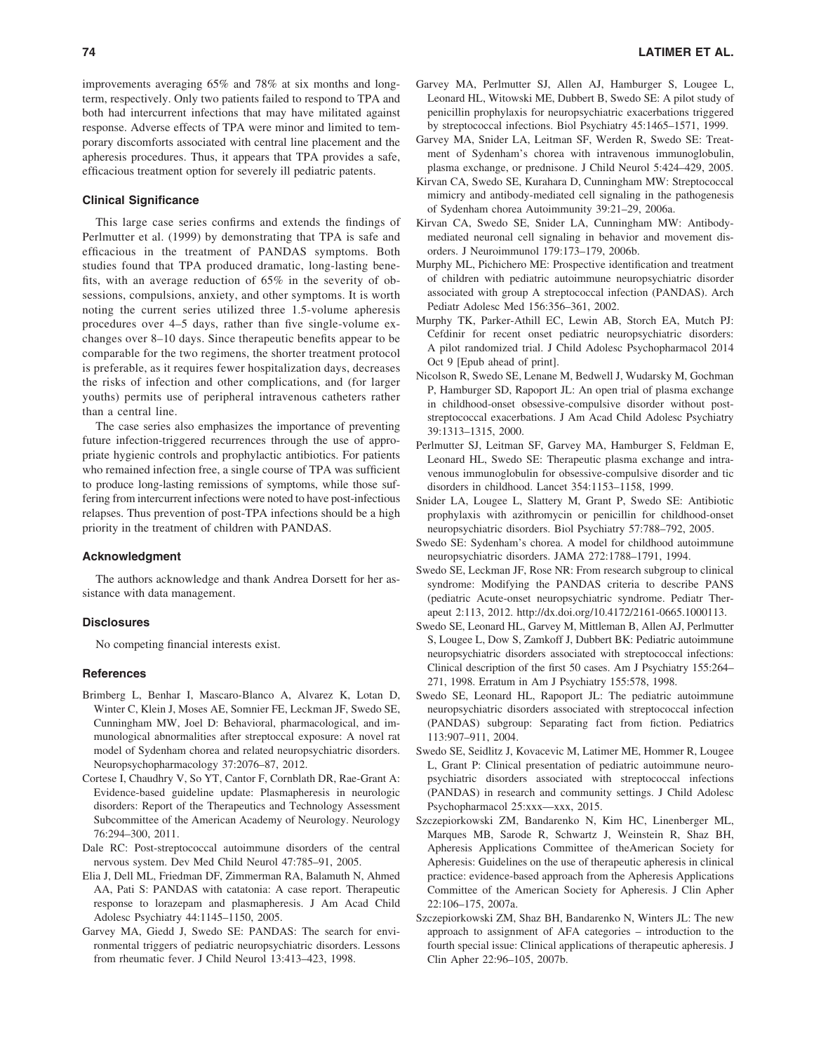improvements averaging 65% and 78% at six months and longterm, respectively. Only two patients failed to respond to TPA and both had intercurrent infections that may have militated against response. Adverse effects of TPA were minor and limited to temporary discomforts associated with central line placement and the apheresis procedures. Thus, it appears that TPA provides a safe, efficacious treatment option for severely ill pediatric patents.

## Clinical Significance

This large case series confirms and extends the findings of Perlmutter et al. (1999) by demonstrating that TPA is safe and efficacious in the treatment of PANDAS symptoms. Both studies found that TPA produced dramatic, long-lasting benefits, with an average reduction of 65% in the severity of obsessions, compulsions, anxiety, and other symptoms. It is worth noting the current series utilized three 1.5-volume apheresis procedures over 4–5 days, rather than five single-volume exchanges over 8–10 days. Since therapeutic benefits appear to be comparable for the two regimens, the shorter treatment protocol is preferable, as it requires fewer hospitalization days, decreases the risks of infection and other complications, and (for larger youths) permits use of peripheral intravenous catheters rather than a central line.

The case series also emphasizes the importance of preventing future infection-triggered recurrences through the use of appropriate hygienic controls and prophylactic antibiotics. For patients who remained infection free, a single course of TPA was sufficient to produce long-lasting remissions of symptoms, while those suffering from intercurrent infections were noted to have post-infectious relapses. Thus prevention of post-TPA infections should be a high priority in the treatment of children with PANDAS.

#### Acknowledgment

The authors acknowledge and thank Andrea Dorsett for her assistance with data management.

#### **Disclosures**

No competing financial interests exist.

#### **References**

- Brimberg L, Benhar I, Mascaro-Blanco A, Alvarez K, Lotan D, Winter C, Klein J, Moses AE, Somnier FE, Leckman JF, Swedo SE, Cunningham MW, Joel D: Behavioral, pharmacological, and immunological abnormalities after streptoccal exposure: A novel rat model of Sydenham chorea and related neuropsychiatric disorders. Neuropsychopharmacology 37:2076–87, 2012.
- Cortese I, Chaudhry V, So YT, Cantor F, Cornblath DR, Rae-Grant A: Evidence-based guideline update: Plasmapheresis in neurologic disorders: Report of the Therapeutics and Technology Assessment Subcommittee of the American Academy of Neurology. Neurology 76:294–300, 2011.
- Dale RC: Post-streptococcal autoimmune disorders of the central nervous system. Dev Med Child Neurol 47:785–91, 2005.
- Elia J, Dell ML, Friedman DF, Zimmerman RA, Balamuth N, Ahmed AA, Pati S: PANDAS with catatonia: A case report. Therapeutic response to lorazepam and plasmapheresis. J Am Acad Child Adolesc Psychiatry 44:1145–1150, 2005.
- Garvey MA, Giedd J, Swedo SE: PANDAS: The search for environmental triggers of pediatric neuropsychiatric disorders. Lessons from rheumatic fever. J Child Neurol 13:413–423, 1998.
- Garvey MA, Perlmutter SJ, Allen AJ, Hamburger S, Lougee L, Leonard HL, Witowski ME, Dubbert B, Swedo SE: A pilot study of penicillin prophylaxis for neuropsychiatric exacerbations triggered by streptococcal infections. Biol Psychiatry 45:1465–1571, 1999.
- Garvey MA, Snider LA, Leitman SF, Werden R, Swedo SE: Treatment of Sydenham's chorea with intravenous immunoglobulin, plasma exchange, or prednisone. J Child Neurol 5:424–429, 2005.
- Kirvan CA, Swedo SE, Kurahara D, Cunningham MW: Streptococcal mimicry and antibody-mediated cell signaling in the pathogenesis of Sydenham chorea Autoimmunity 39:21–29, 2006a.
- Kirvan CA, Swedo SE, Snider LA, Cunningham MW: Antibodymediated neuronal cell signaling in behavior and movement disorders. J Neuroimmunol 179:173–179, 2006b.
- Murphy ML, Pichichero ME: Prospective identification and treatment of children with pediatric autoimmune neuropsychiatric disorder associated with group A streptococcal infection (PANDAS). Arch Pediatr Adolesc Med 156:356–361, 2002.
- Murphy TK, Parker-Athill EC, Lewin AB, Storch EA, Mutch PJ: Cefdinir for recent onset pediatric neuropsychiatric disorders: A pilot randomized trial. J Child Adolesc Psychopharmacol 2014 Oct 9 [Epub ahead of print].
- Nicolson R, Swedo SE, Lenane M, Bedwell J, Wudarsky M, Gochman P, Hamburger SD, Rapoport JL: An open trial of plasma exchange in childhood-onset obsessive-compulsive disorder without poststreptococcal exacerbations. J Am Acad Child Adolesc Psychiatry 39:1313–1315, 2000.
- Perlmutter SJ, Leitman SF, Garvey MA, Hamburger S, Feldman E, Leonard HL, Swedo SE: Therapeutic plasma exchange and intravenous immunoglobulin for obsessive-compulsive disorder and tic disorders in childhood. Lancet 354:1153–1158, 1999.
- Snider LA, Lougee L, Slattery M, Grant P, Swedo SE: Antibiotic prophylaxis with azithromycin or penicillin for childhood-onset neuropsychiatric disorders. Biol Psychiatry 57:788–792, 2005.
- Swedo SE: Sydenham's chorea. A model for childhood autoimmune neuropsychiatric disorders. JAMA 272:1788–1791, 1994.
- Swedo SE, Leckman JF, Rose NR: From research subgroup to clinical syndrome: Modifying the PANDAS criteria to describe PANS (pediatric Acute-onset neuropsychiatric syndrome. Pediatr Therapeut 2:113, 2012. http://dx.doi.org/10.4172/2161-0665.1000113.
- Swedo SE, Leonard HL, Garvey M, Mittleman B, Allen AJ, Perlmutter S, Lougee L, Dow S, Zamkoff J, Dubbert BK: Pediatric autoimmune neuropsychiatric disorders associated with streptococcal infections: Clinical description of the first 50 cases. Am J Psychiatry 155:264– 271, 1998. Erratum in Am J Psychiatry 155:578, 1998.
- Swedo SE, Leonard HL, Rapoport JL: The pediatric autoimmune neuropsychiatric disorders associated with streptococcal infection (PANDAS) subgroup: Separating fact from fiction. Pediatrics 113:907–911, 2004.
- Swedo SE, Seidlitz J, Kovacevic M, Latimer ME, Hommer R, Lougee L, Grant P: Clinical presentation of pediatric autoimmune neuropsychiatric disorders associated with streptococcal infections (PANDAS) in research and community settings. J Child Adolesc Psychopharmacol 25:xxx—xxx, 2015.
- Szczepiorkowski ZM, Bandarenko N, Kim HC, Linenberger ML, Marques MB, Sarode R, Schwartz J, Weinstein R, Shaz BH, Apheresis Applications Committee of theAmerican Society for Apheresis: Guidelines on the use of therapeutic apheresis in clinical practice: evidence-based approach from the Apheresis Applications Committee of the American Society for Apheresis. J Clin Apher 22:106–175, 2007a.
- Szczepiorkowski ZM, Shaz BH, Bandarenko N, Winters JL: The new approach to assignment of AFA categories – introduction to the fourth special issue: Clinical applications of therapeutic apheresis. J Clin Apher 22:96–105, 2007b.